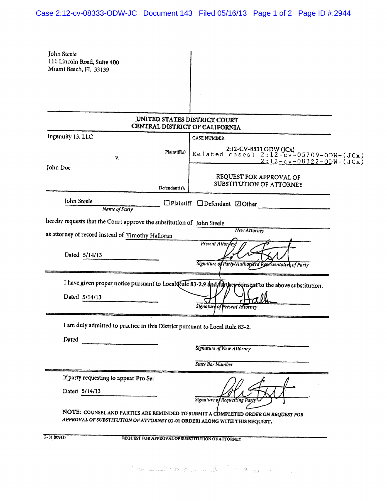## Case 2:12-cv-08333-ODW-JC Document 143 Filed 05/16/13 Page 1 of 2 Page ID #:2944

| John Steele<br>111 Lincoln Road, Suite 400<br>Miami Beach, FL 33139          |               |                                                                                                         |
|------------------------------------------------------------------------------|---------------|---------------------------------------------------------------------------------------------------------|
|                                                                              |               |                                                                                                         |
|                                                                              |               |                                                                                                         |
|                                                                              |               |                                                                                                         |
|                                                                              |               | UNITED STATES DISTRICT COURT<br>CENTRAL DISTRICT OF CALIFORNIA                                          |
| Ingenuity 13, LLC                                                            |               | <b>CASE NUMBER</b>                                                                                      |
| V,                                                                           | Plaintiff(s)  | 2:12-CV-8333 ODW (JCx)<br>Related cases: 2:12-cv-05709-0DW-(JCx)<br>$2:12-cv-08322-0DW-(JCx)$           |
| John Doe                                                                     | Defendant(s). | REQUEST FOR APPROVAL OF<br>SUBSTITUTION OF ATTORNEY                                                     |
| John Steele<br>Name of Party                                                 |               | $\Box$ Plaintiff $\Box$ Defendant $\Box$ Other                                                          |
| hereby requests that the Court approve the substitution of John Steele       |               |                                                                                                         |
| as attorney of record instead of Timothy Halloran                            |               | New Attorney                                                                                            |
| Dated 5/14/13                                                                |               | Present Attoryey<br>Signature of Party/Authorized Representative of Party                               |
|                                                                              |               | I have given proper notice pursuant to Local Rule 83-2.9 and further consent to the above substitution. |
| Dated 5/14/13                                                                |               | <b>Signature of Present Altorney</b>                                                                    |
| I am duly admitted to practice in this District pursuant to Local Rule 83-2. |               |                                                                                                         |
| Dated                                                                        |               |                                                                                                         |
|                                                                              |               | Signature of New Attorney                                                                               |
|                                                                              |               | <b>State Bar Number</b>                                                                                 |
| If party requesting to appear Pro Se:                                        |               |                                                                                                         |
| Dated 5/14/13                                                                |               | Signature of Requesting Party                                                                           |
| APPROVAL OF SUBSTITUTION OF ATTORNEY (G-01 ORDER) ALONG WITH THIS REQUEST.   |               | NOTE: COUNSEL AND PARTIES ARE REMINDED TO SUBMIT A COMPLETED ORDER ON REQUEST FOR                       |
| G-01 (07/12)                                                                 |               | REQUEST FOR APPROVAL OF SUBSTITUTION OF ATTORNEY                                                        |